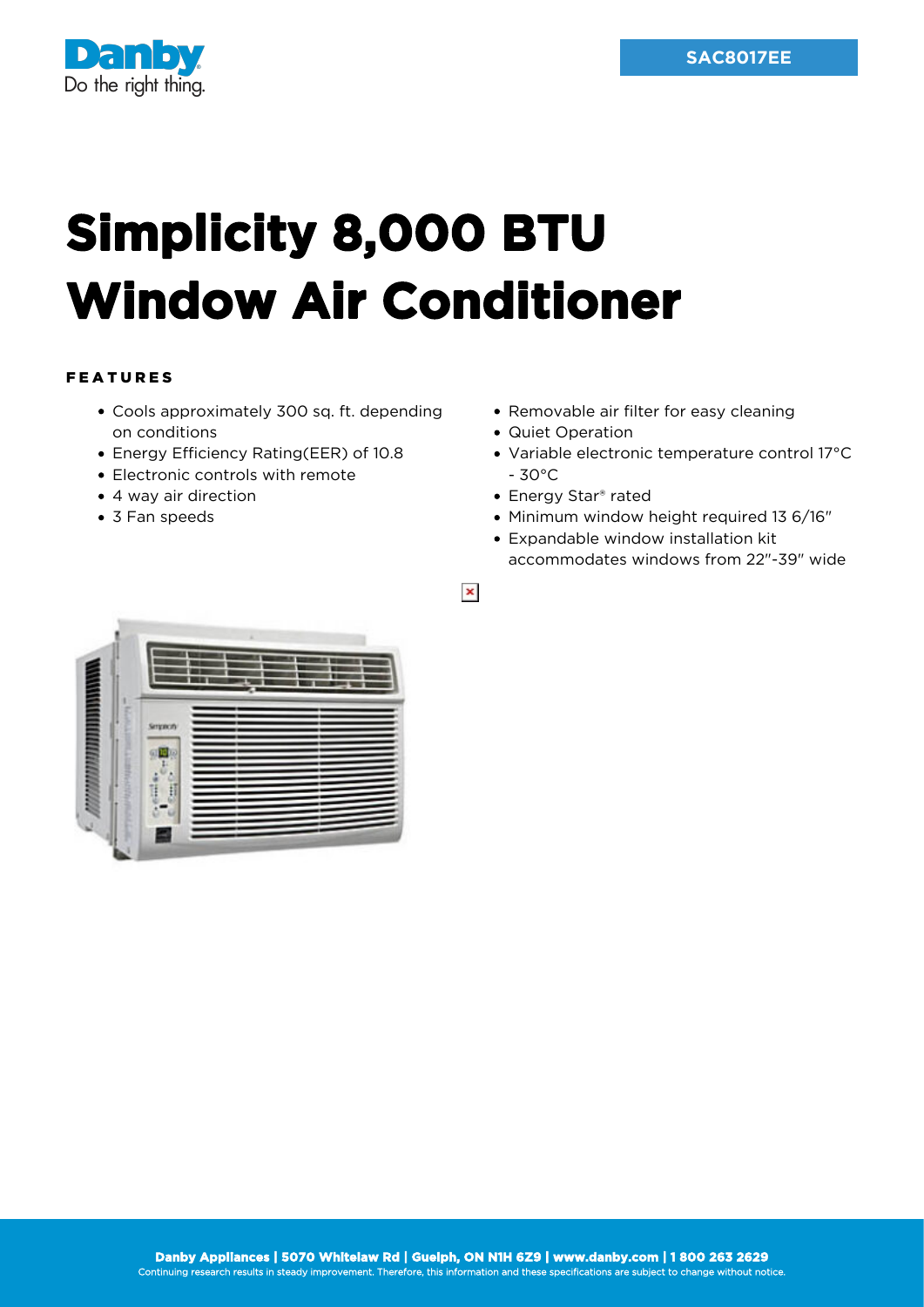

## **Simplicity 8,000 BTU Window Air Conditioner**

## FEATURES

- Cools approximately 300 sq. ft. depending on conditions
- Energy Efficiency Rating(EER) of 10.8
- Electronic controls with remote
- 4 way air direction
- 3 Fan speeds
- Removable air filter for easy cleaning
- Quiet Operation
- Variable electronic temperature control 17°C - 30°C
- Energy Star® rated
- Minimum window height required 13 6/16"
- Expandable window installation kit accommodates windows from 22"-39" wide

 $\pmb{\times}$